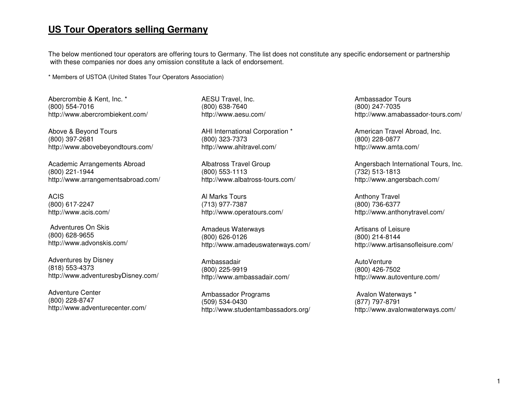## **US Tour Operators selling Germany**

The below mentioned tour operators are offering tours to Germany. The list does not constitute any specific endorsement or partnership with these companies nor does any omission constitute a lack of endorsement.

\* Members of USTOA (United States Tour Operators Association)

Abercrombie & Kent, Inc. \* (800) 554-7016 http://www.abercrombiekent.com/

Above & Beyond Tours (800) 397-2681 http://www.abovebeyondtours.com/

Academic Arrangements Abroad (800) 221-1944 http://www.arrangementsabroad.com/

ACIS (800) 617-2247 http://www.acis.com/

 Adventures On Skis (800) 628-9655 http://www.advonskis.com/

Adventures by Disney (818) 553-4373 http://www.adventuresbyDisney.com/

Adventure Center (800) 228-8747 http://www.adventurecenter.com/ AESU Travel, Inc. (800) 638-7640 http://www.aesu.com/

AHI International Corporation \* (800) 323-7373 http://www.ahitravel.com/

Albatross Travel Group (800) 553-1113 http://www.albatross-tours.com/

Al Marks Tours (713) 977-7387 http://www.operatours.com/

Amadeus Waterways (800) 626-0126 http://www.amadeuswaterways.com/

Ambassadair (800) 225-9919 http://www.ambassadair.com/

Ambassador Programs (509) 534-0430 http://www.studentambassadors.org/ Ambassador Tours (800) 247-7035 http://www.amabassador-tours.com/

American Travel Abroad, Inc. (800) 228-0877 http://www.amta.com/

Angersbach International Tours, Inc. (732) 513-1813 http://www.angersbach.com/

Anthony Travel (800) 736-6377 http://www.anthonytravel.com/

Artisans of Leisure (800) 214-8144 http://www.artisansofleisure.com/

**AutoVenture**  (800) 426-7502 http://www.autoventure.com/

 Avalon Waterways \* (877) 797-8791 http://www.avalonwaterways.com/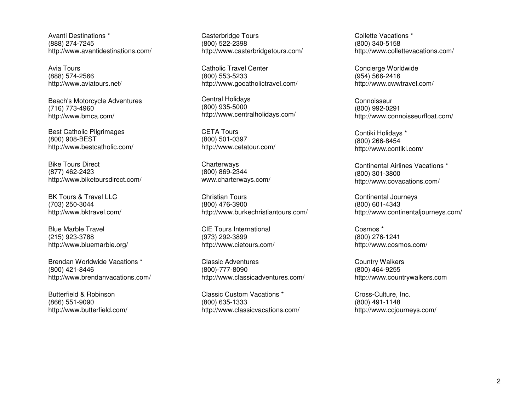Avanti Destinations \* (888) 274-7245 http://www.avantidestinations.com/

Avia Tours (888) 574-2566 http://www.aviatours.net/

Beach's Motorcycle Adventures (716) 773-4960 http://www.bmca.com/

Best Catholic Pilgrimages (800) 908-BEST http://www.bestcatholic.com/

Bike Tours Direct (877) 462-2423 http://www.biketoursdirect.com/

BK Tours & Travel LLC (703) 250-3044 http://www.bktravel.com/

Blue Marble Travel (215) 923-3788 http://www.bluemarble.org/

Brendan Worldwide Vacations \* (800) 421-8446 http://www.brendanvacations.com/

Butterfield & Robinson (866) 551-9090 http://www.butterfield.com/ Casterbridge Tours (800) 522-2398 http://www.casterbridgetours.com/

Catholic Travel Center (800) 553-5233 http://www.gocatholictravel.com/

Central Holidays (800) 935-5000 http://www.centralholidays.com/

CETA Tours (800) 501-0397 http://www.cetatour.com/

**Charterways**  (800) 869-2344 www.charterways.com/

Christian Tours (800) 476-3900 http://www.burkechristiantours.com/

CIE Tours International (973) 292-3899 http://www.cietours.com/

Classic Adventures (800)-777-8090 http://www.classicadventures.com/

Classic Custom Vacations \* (800) 635-1333 http://www.classicvacations.com/ Collette Vacations \* (800) 340-5158 http://www.collettevacations.com/

Concierge Worldwide (954) 566-2416 http://www.cwwtravel.com/

**Connoisseur**  (800) 992-0291 http://www.connoisseurfloat.com/

Contiki Holidays \* (800) 266-8454 http://www.contiki.com/

Continental Airlines Vacations \* (800) 301-3800 http://www.covacations.com/

Continental Journeys (800) 601-4343 http://www.continentaljourneys.com/

Cosmos \* (800) 276-1241 http://www.cosmos.com/

Country Walkers (800) 464-9255 http://www.countrywalkers.com

Cross-Culture, Inc. (800) 491-1148 http://www.ccjourneys.com/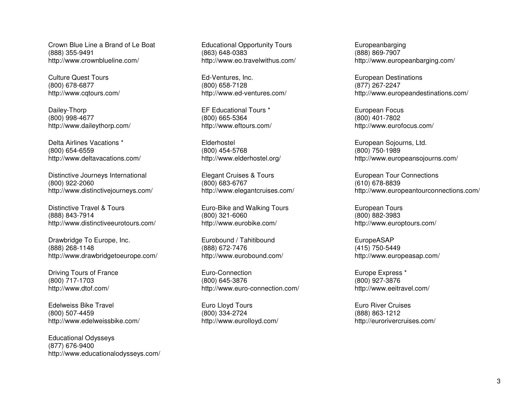Crown Blue Line a Brand of Le Boat (888) 355-9491 http://www.crownblueline.com/

Culture Quest Tours (800) 678-6877 http://www.cqtours.com/

Dailey-Thorp (800) 998-4677 http://www.daileythorp.com/

Delta Airlines Vacations \* (800) 654-6559 http://www.deltavacations.com/

Distinctive Journeys International (800) 922-2060 http://www.distinctivejourneys.com/

Distinctive Travel & Tours (888) 843-7914 http://www.distinctiveeurotours.com/

Drawbridge To Europe, Inc. (888) 268-1148 http://www.drawbridgetoeurope.com/

Driving Tours of France (800) 717-1703 http://www.dtof.com/

Edelweiss Bike Travel (800) 507-4459 http://www.edelweissbike.com/

Educational Odysseys (877) 676-9400 http://www.educationalodysseys.com/ Educational Opportunity Tours (863) 648-0383 http://www.eo.travelwithus.com/

Ed-Ventures, Inc. (800) 658-7128 http://www.ed-ventures.com/

EF Educational Tours \* (800) 665-5364 http://www.eftours.com/

Elderhostel (800) 454-5768 http://www.elderhostel.org/

Elegant Cruises & Tours (800) 683-6767 http://www.elegantcruises.com/

Euro-Bike and Walking Tours (800) 321-6060 http://www.eurobike.com/

Eurobound / Tahitibound (888) 672-7476 http://www.eurobound.com/

Euro-Connection (800) 645-3876 http://www.euro-connection.com/

Euro Lloyd Tours (800) 334-2724 http://www.eurolloyd.com/ Europeanbarging (888) 869-7907 http://www.europeanbarging.com/

European Destinations (877) 267-2247 http://www.europeandestinations.com/

European Focus (800) 401-7802 http://www.eurofocus.com/

European Sojourns, Ltd. (800) 750-1989 http://www.europeansojourns.com/

European Tour Connections (610) 678-8839 http://www.europeantourconnections.com/

European Tours (800) 882-3983 http://www.europtours.com/

EuropeASAP (415) 750-5449 http://www.europeasap.com/

Europe Express \* (800) 927-3876 http://www.eeitravel.com/

Euro River Cruises (888) 863-1212 http://eurorivercruises.com/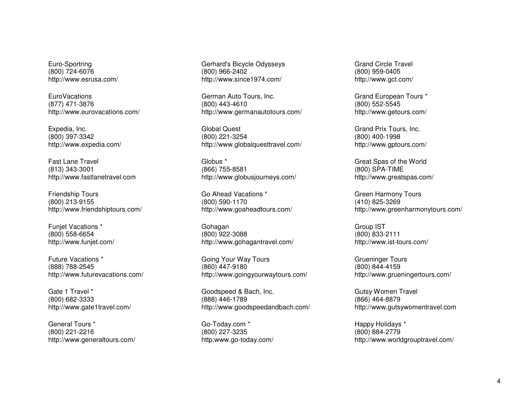Euro-Sportring (800) 724-6076 http://www.esrusa.com/

**EuroVacations**  (877) 471-3876 http://www.eurovacations.com/

Expedia, Inc. (800) 397-3342 http://www.expedia.com/

Fast Lane Travel (813) 343-3001 http://www.fastlanetravel.com

Friendship Tours (800) 213-9155 http://www.friendshiptours.com/

Funjet Vacations \* (800) 558-6654 http://www.funjet.com/

Future Vacations \* (888) 788-2545 http://www.futurevacations.com/

Gate 1 Travel \* (800) 682-3333 http://www.gate1travel.com/

General Tours \* (800) 221-2216 http://www.generaltours.com/ Gerhard's Bicycle Odysseys (800) 966-2402 http://www.since1974.com/

German Auto Tours, Inc. (800) 443-4610 http://www.germanautotours.com/

Global Quest (800) 221-3254 http://www.globalquesttravel.com/

Globus \* (866) 755-8581 http://www.globusjourneys.com/

Go Ahead Vacations \* (800) 590-1170 http://www.goaheadtours.com/

Gohagan (800) 922-3088 http://www.gohagantravel.com/

Going Your Way Tours (860) 447-9180 http://www.goingyourwaytours.com/

Goodspeed & Bach, Inc. (888) 446-1789 http://www.goodspeedandbach.com/

Go-Today.com \* (800) 227-3235 http:www.go-today.com/ Grand Circle Travel (800) 959-0405 http://www.gct.com/

Grand European Tours \* (800) 552-5545 http://www.getours.com/

Grand Prix Tours, Inc. (800) 400-1998 http://www.gptours.com/

Great Spas of the World (800) SPA-TIME http://www.greatspas.com/

Green Harmony Tours (410) 825-3269 http://www.greenharmonytours.com/

Group IST (800) 833-2111 http://www.ist-tours.com/

Grueninger Tours (800) 844-4159 http://www.grueningertours.com/

Gutsy Women Travel (866) 464-8879 http://www.gutsywomentravel.com

Happy Holidays \* (800) 884-2779 http://www.worldgrouptravel.com/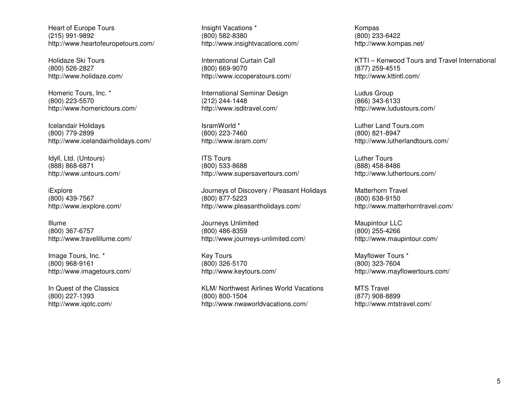Heart of Europe Tours (215) 991-9892 http://www.heartofeuropetours.com/

Holidaze Ski Tours (800) 526-2827 http://www.holidaze.com/

Homeric Tours, Inc. \* (800) 223-5570 http://www.homerictours.com/

Icelandair Holidays (800) 779-2899 http://www.icelandairholidays.com/

Idyll, Ltd. (Untours) (888) 868-6871 http://www.untours.com/

iExplore (800) 439-7567 http://www.iexplore.com/

Illume (800) 367-6757 http://www.travelillume.com/

Image Tours, Inc. \* (800) 968-9161 http://www.imagetours.com/

In Quest of the Classics (800) 227-1393 http://www.iqotc.com/

Insight Vacations \* (800) 582-8380 http://www.insightvacations.com/

International Curtain Call (800) 669-9070 http://www.iccoperatours.com/

International Seminar Design (212) 244-1448 http://www.isditravel.com/

IsramWorld \* (800) 223-7460 http://www.isram.com/

ITS Tours (800) 533-8688 http://www.supersavertours.com/

Journeys of Discovery / Pleasant Holidays (800) 877-5223 http://www.pleasantholidays.com/

Journeys Unlimited (800) 486-8359 http://www.journeys-unlimited.com/

Key Tours (800) 326-5170 http://www.keytours.com/

KLM/ Northwest Airlines World Vacations (800) 800-1504 http://www.nwaworldvacations.com/

Kompas (800) 233-6422 http://www.kompas.net/

KTTI – Kenwood Tours and Travel International (877) 259-4515 http://www.kttintl.com/

Ludus Group (866) 343-6133 http://www.ludustours.com/

Luther Land Tours.com (800) 821-8947 http://www.lutherlandtours.com/

Luther Tours (888) 458-8486 http://www.luthertours.com/

Matterhorn Travel (800) 638-9150 http://www.matterhorntravel.com/

Maupintour LLC (800) 255-4266 http://www.maupintour.com/

Mayflower Tours \* (800) 323-7604 http://www.mayflowertours.com/

MTS Travel (877) 908-8899 http://www.mtstravel.com/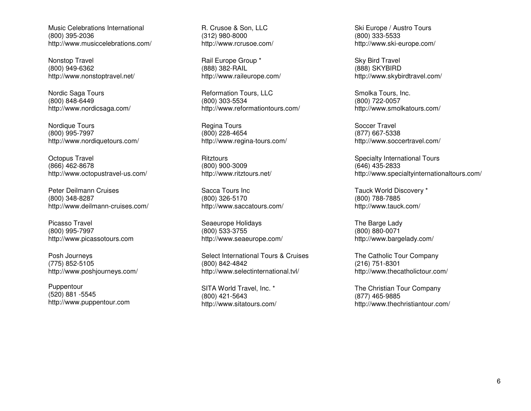Music Celebrations International (800) 395-2036 http://www.musiccelebrations.com/

Nonstop Travel (800) 949-6362 http://www.nonstoptravel.net/

Nordic Saga Tours (800) 848-6449 http://www.nordicsaga.com/

Nordique Tours (800) 995-7997 http://www.nordiquetours.com/

Octopus Travel (866) 462-8678 http://www.octopustravel-us.com/

Peter Deilmann Cruises (800) 348-8287 http://www.deilmann-cruises.com/

Picasso Travel (800) 995-7997 http://www.picassotours.com

Posh Journeys (775) 852-5105 http://www.poshjourneys.com/

Puppentour (520) 881 -5545 http://www.puppentour.com R. Crusoe & Son, LLC (312) 980-8000 http://www.rcrusoe.com/

Rail Europe Group \* (888) 382-RAIL http://www.raileurope.com/

Reformation Tours, LLC (800) 303-5534 http://www.reformationtours.com/

Regina Tours (800) 228-4654 http://www.regina-tours.com/

**Ritztours**  (800) 900-3009 http://www.ritztours.net/

Sacca Tours Inc (800) 326-5170 http://www.saccatours.com/

Seaeurope Holidays (800) 533-3755 http://www.seaeurope.com/

Select International Tours & Cruises (800) 842-4842 http://www.selectinternational.tvl/

SITA World Travel, Inc. \* (800) 421-5643 http://www.sitatours.com/ Ski Europe / Austro Tours (800) 333-5533 http://www.ski-europe.com/

Sky Bird Travel (888) SKYBIRD http://www.skybirdtravel.com/

Smolka Tours, Inc. (800) 722-0057 http://www.smolkatours.com/

Soccer Travel (877) 667-5338 http://www.soccertravel.com/

Specialty International Tours (646) 435-2833 http://www.specialtyinternationaltours.com/

Tauck World Discovery \* (800) 788-7885 http://www.tauck.com/

The Barge Lady (800) 880-0071 http://www.bargelady.com/

The Catholic Tour Company (216) 751-8301 http://www.thecatholictour.com/

The Christian Tour Company (877) 465-9885 http://www.thechristiantour.com/